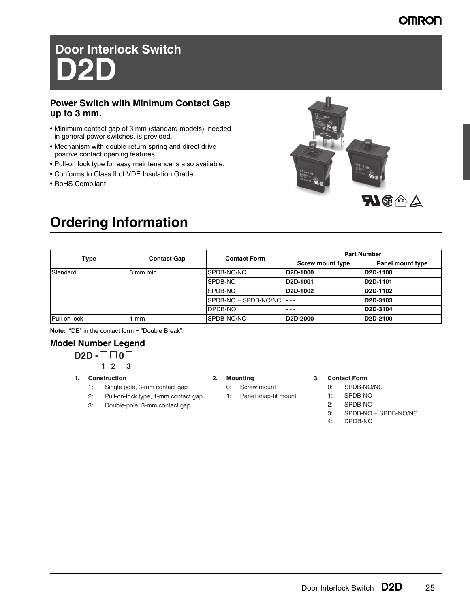## **OMRON**

# **Door Interlock Switch D2D**

### **Power Switch with Minimum Contact Gap up to 3 mm.**

- Minimum contact gap of 3 mm (standard models), needed in general power switches, is provided.
- Mechanism with double return spring and direct drive positive contact opening features
- Pull-on lock type for easy maintenance is also available.
- Conforms to Class II of VDE Insulation Grade.
- RoHS Compliant



## **Ordering Information**

|              | <b>Contact Gap</b> | <b>Contact Form</b>             | <b>Part Number</b>                |                                   |
|--------------|--------------------|---------------------------------|-----------------------------------|-----------------------------------|
| Type         |                    |                                 | <b>Screw mount type</b>           | Panel mount type                  |
| Standard     | 3 mm min.          | SPDB-NO/NC                      | D <sub>2</sub> D-1000             | D2D-1100                          |
|              |                    | SPDB-NO                         | D <sub>2</sub> D-1001             | D2D-1101                          |
|              |                    | SPDB-NC                         | D <sub>2</sub> D-1002             | D2D-1102                          |
|              |                    | $SPDB-NO + SPDB-NO/NC$ $\cdots$ |                                   | D <sub>2</sub> D-3103             |
|              |                    | <b>DPDB-NO</b>                  | $- - -$                           | D2D-3104                          |
| Pull-on lock | mm                 | SPDB-NO/NC                      | D <sub>2</sub> D <sub>-2000</sub> | D <sub>2</sub> D <sub>-2100</sub> |

**Note:** "DB" in the contact form = "Double Break".

### **Model Number Legend**

$$
D2D - \square
$$

- **1. Construction**
	- 1: Single pole, 3-mm contact gap
	- 2: Pull-on-lock type, 1-mm contact gap
	- 3: Double-pole, 3-mm contact gap

### **2. Mounting**

- 0: Screw mount
- 1: Panel snap-fit mount

### **3. Contact Form**

- 0: SPDB-NO/NC
- 1: SPDB-NO
- 2: SPDB-NC
- 3: SPDB-NO + SPDB-NO/NC
- 4: DPDB-NO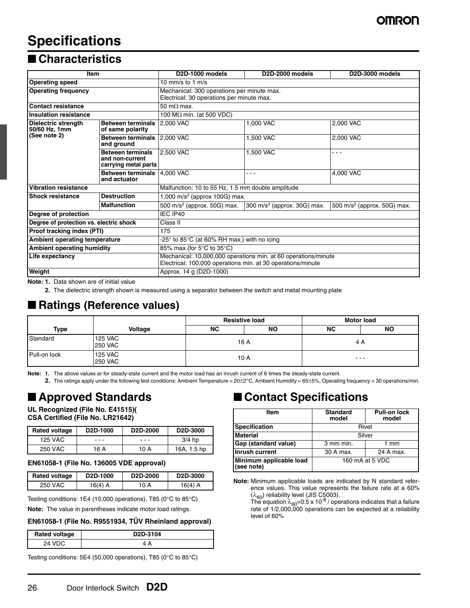## **Specifications**

## ■ **Characteristics**

| <b>Item</b>                             |                                                                     | D <sub>2</sub> D-1000 models                                                                                                  | D <sub>2</sub> D-2000 models           | D <sub>2</sub> D-3000 models            |  |
|-----------------------------------------|---------------------------------------------------------------------|-------------------------------------------------------------------------------------------------------------------------------|----------------------------------------|-----------------------------------------|--|
| <b>Operating speed</b>                  |                                                                     | 10 mm/s to 1 m/s                                                                                                              |                                        |                                         |  |
| <b>Operating frequency</b>              |                                                                     | Mechanical: 300 operations per minute max.<br>Electrical: 30 operations per minute max.                                       |                                        |                                         |  |
| <b>Contact resistance</b>               |                                                                     | 50 m $\Omega$ max.                                                                                                            |                                        |                                         |  |
| <b>Insulation resistance</b>            |                                                                     | 100 M $\Omega$ min. (at 500 VDC)                                                                                              |                                        |                                         |  |
| Dielectric strength<br>50/60 Hz, 1mm    | <b>Between terminals</b><br>of same polarity                        | 2,000 VAC                                                                                                                     | 1,000 VAC                              | 2,000 VAC                               |  |
| (See note 2)                            | <b>Between terminals</b><br>and ground                              | 2,000 VAC                                                                                                                     | 1,500 VAC                              | 2,000 VAC                               |  |
|                                         | <b>Between terminals</b><br>and non-current<br>carrying metal parts | 2,500 VAC                                                                                                                     | 1,500 VAC                              | - - -                                   |  |
|                                         | <b>Between terminals</b><br>and actuator                            | 4,000 VAC                                                                                                                     | .                                      | 4,000 VAC                               |  |
| <b>Vibration resistance</b>             |                                                                     | Malfunction: 10 to 55 Hz, 1.5 mm double amplitude                                                                             |                                        |                                         |  |
| <b>Shock resistance</b>                 | <b>Destruction</b>                                                  | 1,000 m/s <sup>2</sup> (approx 100G) max.                                                                                     |                                        |                                         |  |
|                                         | <b>Malfunction</b>                                                  | 500 m/s <sup>2</sup> (approx. 50G) max.                                                                                       | $300 \text{ m/s}^2$ (approx. 30G) max. | 500 m/s <sup>2</sup> (approx. 50G) max. |  |
| Degree of protection                    |                                                                     | IEC IP40                                                                                                                      |                                        |                                         |  |
| Degree of protection vs. electric shock |                                                                     | Class II                                                                                                                      |                                        |                                         |  |
| Proof tracking index (PTI)              |                                                                     | 175                                                                                                                           |                                        |                                         |  |
| Ambient operating temperature           |                                                                     | -25 $\degree$ to 85 $\degree$ C (at 60% RH max.) with no icing                                                                |                                        |                                         |  |
| <b>Ambient operating humidity</b>       |                                                                     | 85% max (for 5°C to 35°C)                                                                                                     |                                        |                                         |  |
| Life expectancy                         |                                                                     | Mechanical: 10,000,000 operations min. at 60 operations/minute<br>Electrical: 100,000 operations min. at 30 operations/minute |                                        |                                         |  |
| Weight                                  |                                                                     | Approx. 14 g (D2D-1000)                                                                                                       |                                        |                                         |  |

**Note: 1.** Data shown are of initial value

**2.** The dielectric strength shown is measured using a separator between the switch and metal mounting plate

### ■ Ratings (Reference values)

|              |                                  | <b>Resistive load</b> |           |           | <b>Motor load</b> |
|--------------|----------------------------------|-----------------------|-----------|-----------|-------------------|
| <b>Type</b>  | Voltage                          | NC.                   | <b>NO</b> | <b>NC</b> | <b>NO</b>         |
| Standard     | <b>125 VAC</b><br><b>250 VAC</b> |                       | 16 A      | 4 A       |                   |
| Pull-on lock | <b>125 VAC</b><br><b>250 VAC</b> |                       | 10 A      |           | ---               |

**Note: 1.** The above values ar for steady-state current and the motor load has an inrush current of 6 times the steady-state current.

**2.** The ratings apply under the following test conditions: Ambient Temperature = 20±2°C, Ambient Humidity = 65±5%, Operating frequency = 30 operations/min.

## ■ **Approved Standards**

**UL Recognized (File No. E41515)( CSA Certified (File No. LR21642)**

| <b>Rated voltage</b> | D <sub>2</sub> D-1000 | D <sub>2</sub> D-2000 | D <sub>2</sub> D-3000 |
|----------------------|-----------------------|-----------------------|-----------------------|
| 125 VAC              |                       |                       | $3/4$ hp              |
| 250 VAC              | 16 A                  | 10 A                  | 16A, 1.5 hp           |

### **EN61058-1 (File No. 136005 VDE approval)**

| <b>Rated voltage</b> | D <sub>2</sub> D-1000 | D <sub>2</sub> D <sub>-2000</sub> | D <sub>2</sub> D <sub>-3000</sub> |
|----------------------|-----------------------|-----------------------------------|-----------------------------------|
| 250 VAC              | 16(4) A               | 10 A                              | 16(4) A                           |

Testing conditions: 1E4 (10,000 operations), T85 (0°C to 85°C)

**Note:** The value in parentheses indicate motor load ratings.

### **EN61058-1 (File No. R9551934, TÜV Rheinland approval)**

| <b>Rated voltage</b> | D <sub>2</sub> D <sub>-3104</sub> |
|----------------------|-----------------------------------|
| 24 VDC               |                                   |

Testing conditions: 5E4 (50,000 operations), T85 (0°C to 85°C)

### ■ **Contact Specifications**

| <b>Item</b>                           | <b>Standard</b><br>model | <b>Pull-on lock</b><br>model |  |
|---------------------------------------|--------------------------|------------------------------|--|
| <b>Specification</b>                  | Rivet                    |                              |  |
| <b>Material</b>                       | Silver                   |                              |  |
| Gap (standard value)                  | 3 mm min.                | 1 mm                         |  |
| Inrush current                        | 30 A max.<br>24 A max.   |                              |  |
| Minimum applicable load<br>(see note) | 160 mA at 5 VDC          |                              |  |

**Note:** Minimum applicable loads are indicated by N standard reference values. This value represents the failure rate at a 60%  $(\lambda_{60})$  reliability level (JIS C5003).

The equation  $\lambda_{60}$ =0.5 x 10<sup>-6</sup> / operations indicates that a failure rate of 1/2,000,000 operations can be expected at a reliability level of 60%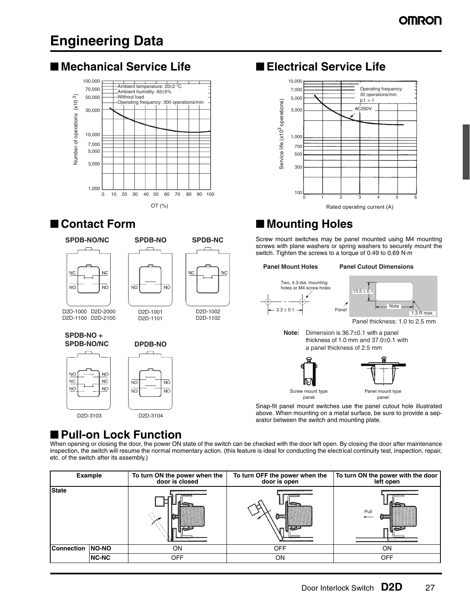## **Engineering Data**

## ■ Mechanical Service Life ■ **Electrical Service Life**



## ■ **Contact Form** ■ **Mounting Holes**

Example 1,000<br>  $\frac{1,000}{0}$ <br>  $\frac{100}{10}$ <br>  $\frac{100}{100}$ <br>  $\frac{100}{100}$ <br>  $\frac{100}{100}$ <br>  $\frac{100}{100}$ <br>  $\frac{100}{100}$ <br>  $\frac{100}{100}$ <br>  $\frac{100}{100}$ <br>  $\frac{100}{100}$ <br>  $\frac{100}{100}$ <br>  $\frac{100}{100}$ <br>  $\frac{100}{100}$ <br>  $\frac{100}{100}$ **SPDB-NO/NC SPDB-NO SPDB-NC** switch. Tighten the screws to a torque of 0.49 to 0.69 N·m **Panel Mount Holes Panel Cutout Dimensions** NC N<sub>C</sub> Two, 4.3-dia. mounting  $\overline{NO}$ holes or M4 screw holes  $13.5 +$ **Note** D2D-1001 D2D-1002  $2.2 \pm 0.1$ D2D-1000 D2D-2000 D2D-1101 D2D-1102 D2D-1100 D2D-2100 **Note:** Dimension is 36.7±0.1 with a panel **SPDB-NO +**  thickness of 1.0 mm and 37.0±0.1 with **SPDB-NO/NC DPDB-NO** a panel thickness of 2.5 mm  $\overline{NO}$  $\overline{NQ}$ Screw mount type **Panel mount type**<br>
panel panel panel panel panel panel panel panel panel panel panel panel panel panel panel panel panel panel panel panel panel panel panel panel panel panel panel panel panel panel panel panel

Snap-fit panel mount switches use the panel cutout hole illustrated above. When mounting on a metal surface, be sure to provide a separator between the switch and mounting plate.

## ■ Pull-on Lock Function

D2D-3103 D2D-3104

When opening or closing the door, the power ON state of the switch can be checked with the door left open. By closing the door after maintenance inspection, the switch will resume the normal momentary action. (this feature is ideal for conducting the electrical continuity test, inspection, repair, etc. of the switch after its assembly.)

|                   | <b>Example</b> | To turn ON the power when the<br>door is closed | To turn OFF the power when the<br>door is open | To turn ON the power with the door<br>left open |
|-------------------|----------------|-------------------------------------------------|------------------------------------------------|-------------------------------------------------|
| <b>State</b>      |                |                                                 | $\frac{1}{2}$ xeeds                            | Pull<br>\$200000                                |
| <b>Connection</b> | <b>NO-NO</b>   | ON                                              | <b>OFF</b>                                     | ON                                              |
|                   | <b>NC-NC</b>   | <b>OFF</b>                                      | ON                                             | <b>OFF</b>                                      |



Screw mount switches may be panel mounted using M4 mounting screws with plane washers or spring washers to securely mount the

Panel  $\overline{P}$  R max. Panel 1.3 R max.

Panel thickness: 1.0 to 2.5 mm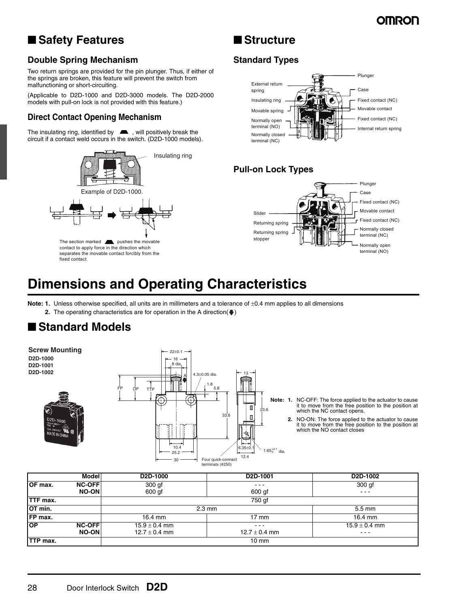## **OMRON**

## ■ Safety Features

## ■ **Structure**

### **Double Spring Mechanism**

Two return springs are provided for the pin plunger. Thus, if either of the springs are broken, this feature will prevent the switch from malfunctioning or short-circuiting.

(Applicable to D2D-1000 and D2D-3000 models. The D2D-2000 models with pull-on lock is not provided with this feature.)

### **Direct Contact Opening Mechanism**

The insulating ring, identified by  $\blacksquare$ , will positively break the circuit if a contact weld occurs in the switch. (D2D-1000 models).



### **Standard Types**



### **Pull-on Lock Types**



## **Dimensions and Operating Characteristics**

**Note: 1.** Unless otherwise specified, all units are in millimeters and a tolerance of  $\pm 0.4$  mm applies to all dimensions **2.** The operating characteristics are for operation in the A direction( $\blacklozenge$ )

## ■ **Standard Models**

**Screw Mounting**  $22+0.1$ **D2D-1000** 16 **D2D-1001** 8 dia. **D2D-1002 1002 1002 1002 1003 1003 1003 1003 1003 1003 1003 1003 1003 1003 1003 1003 1003 1003 1003 1003 1003 1003 1003 1003 1003 1003 1003 1003 1003 1003 1003** 13 A 1.8 FP OP TTP 5.8 **Note: 1.** NC-OFF: The force applied to the actuator to cause it to move from the free position to the position at O, 23.6 which the NC contact opens. 33.6  $\overline{a}$ **2.** NO-ON: The force applied to the actuator to cause it to move from the free position to the position at which the NO contact closes10.4  $\leftarrow$  1.65<sup>+0.1</sup> dia. 25.2 12.4  $\overline{20}$ Four quick-connect terminals (#250) **Model D2D-1000 D2D-1001 D2D-1002**

|                          | --- .vvv          | --- - - - -       | --- - ---                                                                                      |
|--------------------------|-------------------|-------------------|------------------------------------------------------------------------------------------------|
| OF max.<br><b>NC-OFF</b> | 300 gf            | $\cdots$          | 300 gf                                                                                         |
| <b>NO-ONI</b>            | 600 gf            | 600 gf            | $\frac{1}{2} \left( \frac{1}{2} \right) \left( \frac{1}{2} \right) \left( \frac{1}{2} \right)$ |
| TTF max.                 |                   | 750 gf            |                                                                                                |
| OT min.                  |                   | $2.3 \text{ mm}$  | $5.5 \text{ mm}$                                                                               |
| FP max.                  | 16.4 mm           | 17 mm             | 16.4 mm                                                                                        |
| OP<br><b>NC-OFF</b>      | $15.9 \pm 0.4$ mm | $\cdots$          | $15.9 \pm 0.4$ mm                                                                              |
| <b>NO-ON</b>             | $12.7 \pm 0.4$ mm | 12.7 $\pm$ 0.4 mm | $\cdots$                                                                                       |
| TTP max.                 |                   | 10 mm             |                                                                                                |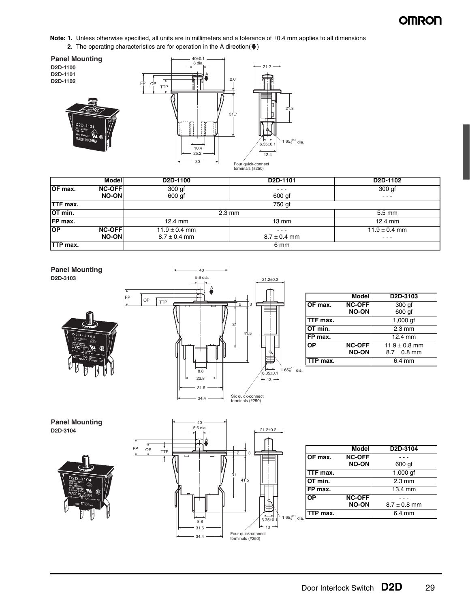Note: 1. Unless otherwise specified, all units are in millimeters and a tolerance of ±0.4 mm applies to all dimensions **2.** The operating characteristics are for operation in the A direction( $\blacklozenge$ )



|                  | <b>Model</b>                   | D <sub>2</sub> D-1100                 | D <sub>2</sub> D-1101        | D <sub>2</sub> D-1102                                                                                    |
|------------------|--------------------------------|---------------------------------------|------------------------------|----------------------------------------------------------------------------------------------------------|
| OF max.          | <b>NC-OFFI</b><br><b>NO-ON</b> | 300 <sub>g</sub><br>600 gf            | $\frac{1}{2}$<br>600 gf      | 300 gf<br>$\frac{1}{2} \left( \frac{1}{2} \right) \left( \frac{1}{2} \right) \left( \frac{1}{2} \right)$ |
| <b>TTF max.</b>  |                                |                                       | 750 gf                       |                                                                                                          |
| OT min.          |                                |                                       | $2.3 \text{ mm}$             |                                                                                                          |
| FP max.          |                                | $12.4 \text{ mm}$                     | $13 \text{ mm}$              | 12.4 mm                                                                                                  |
| <b>OP</b>        | <b>NC-OFF</b><br><b>NO-ON</b>  | 11.9 $\pm$ 0.4 mm<br>$8.7 \pm 0.4$ mm | $\cdots$<br>$8.7 \pm 0.4$ mm | 11.9 $\pm$ 0.4 mm<br>---                                                                                 |
| <b>ITTP max.</b> |                                |                                       | 6 mm                         |                                                                                                          |



|           | <b>Model</b>                  | D <sub>2</sub> D-3103                 |
|-----------|-------------------------------|---------------------------------------|
| OF max.   | <b>NC-OFF</b><br><b>NO-ON</b> | $300$ gf<br>600 gf                    |
| TTF max.  |                               | 1,000 gf                              |
| OT min.   |                               | $2.3 \text{ mm}$                      |
| FP max.   |                               | 12.4 mm                               |
| <b>OP</b> | <b>NC-OFF</b><br><b>NO-ON</b> | 11.9 $\pm$ 0.8 mm<br>$8.7 \pm 0.8$ mm |
| TTP max.  |                               | $6.4 \text{ mm}$                      |
|           |                               |                                       |







|                 | <b>Model</b>  | D <sub>2</sub> D-3104 |
|-----------------|---------------|-----------------------|
| OF max.         | <b>NC-OFF</b> |                       |
|                 | <b>NO-ON</b>  | 600 gf                |
| <b>TTF</b> max. |               | $1,000$ af            |
| OT min.         |               | $2.3 \text{ mm}$      |
| FP max.         |               | 13.4 mm               |
| OP              | <b>NC-OFF</b> |                       |
|                 | <b>NO-ON</b>  | $8.7 \pm 0.8$ mm      |
| TTP max.        |               | $6.4 \text{ mm}$      |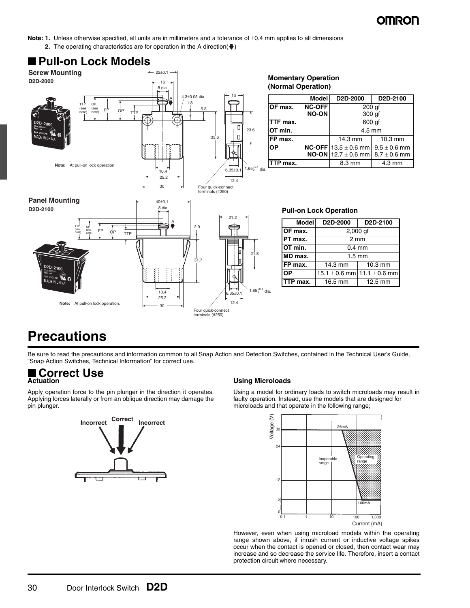200 gf 300 gf

> $9.5 \pm 0.6$  mm  $8.7 \pm 0.6$  mm

 $13.5 \pm 0.6$  mm  $12.7 \pm 0.6$  mm

**Note: 1.** Unless otherwise specified, all units are in millimeters and a tolerance of ±0.4 mm applies to all dimensions **2.** The operating characteristics are for operation in the A direction( $\bigtriangledown$ )



### **Pull-on Lock Operation**

| <b>Model</b> | D <sub>2</sub> D-2000               | D <sub>2</sub> D-2100 |  |  |  |  |  |  |  |  |  |
|--------------|-------------------------------------|-----------------------|--|--|--|--|--|--|--|--|--|
| OF max.      | $2,000$ gf                          |                       |  |  |  |  |  |  |  |  |  |
| PT max.      | $2 \, \text{mm}$                    |                       |  |  |  |  |  |  |  |  |  |
| OT min.      | $0.4 \text{ mm}$                    |                       |  |  |  |  |  |  |  |  |  |
| MD max.      | $1.5 \text{ mm}$                    |                       |  |  |  |  |  |  |  |  |  |
| FP max.      | 14.3 mm                             | $10.3$ mm             |  |  |  |  |  |  |  |  |  |
| <b>OP</b>    | $15.1 \pm 0.6$ mm $11.1 \pm 0.6$ mm |                       |  |  |  |  |  |  |  |  |  |
| TTP max.     | 16.5 mm                             | 12.5 mm               |  |  |  |  |  |  |  |  |  |
|              |                                     |                       |  |  |  |  |  |  |  |  |  |

## **Precautions**

Be sure to read the precautions and information common to all Snap Action and Detection Switches, contained in the Technical User's Guide, "Snap Action Switches, Technical Information" for correct use.

### ■ **Correct Use Actuation**

Apply operation force to the pin plunger in the direction it operates. Applying forces laterally or from an oblique direction may damage the pin plunger.



### **Using Microloads**

Using a model for ordinary loads to switch microloads may result in faulty operation. Instead, use the models that are designed for microloads and that operate in the following range;



However, even when using microload models within the operating range shown above, if inrush current or inductive voltage spikes occur when the contact is opened or closed, then contact wear may increase and so decrease the service life. Therefore, insert a contact protection circuit where necessary.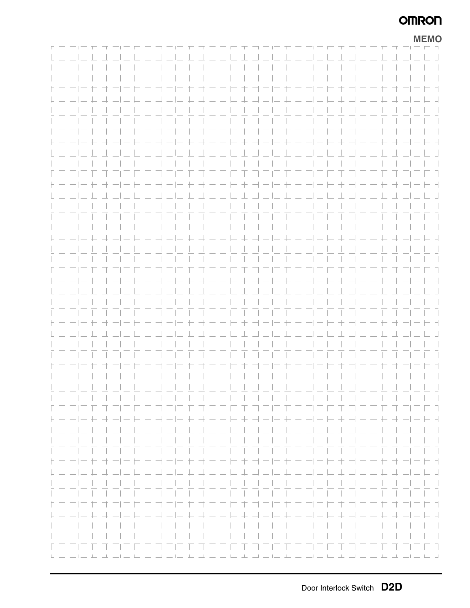## **OMRON**

|  |                            |  |  |  |  |  |  |      |                            |      |  |       |  |       |  |                                                           | <b>MEMO</b>                                                                                                           |
|--|----------------------------|--|--|--|--|--|--|------|----------------------------|------|--|-------|--|-------|--|-----------------------------------------------------------|-----------------------------------------------------------------------------------------------------------------------|
|  | $\Gamma = \Gamma - \Gamma$ |  |  |  |  |  |  |      |                            |      |  |       |  |       |  |                                                           |                                                                                                                       |
|  |                            |  |  |  |  |  |  |      |                            |      |  |       |  |       |  |                                                           |                                                                                                                       |
|  |                            |  |  |  |  |  |  |      | .                          |      |  |       |  |       |  |                                                           | $\sim$                                                                                                                |
|  |                            |  |  |  |  |  |  |      |                            |      |  |       |  |       |  |                                                           | רח הריחות הרוחות הרוחות הרוחות הרוחות הורחות הורחות ה                                                                 |
|  |                            |  |  |  |  |  |  | コーヒキ |                            | ヨーヒモ |  | 一十一 一 |  | $\pm$ |  |                                                           | ⊢ ⊣                                                                                                                   |
|  |                            |  |  |  |  |  |  |      | コートキ コート キュートキュート キュートキュート |      |  |       |  |       |  |                                                           | $-1$                                                                                                                  |
|  |                            |  |  |  |  |  |  |      |                            |      |  |       |  |       |  |                                                           | $\vert \vert$                                                                                                         |
|  |                            |  |  |  |  |  |  |      |                            |      |  |       |  |       |  |                                                           |                                                                                                                       |
|  |                            |  |  |  |  |  |  |      |                            |      |  |       |  |       |  | ト ゴービ ト ゴ ゴー ビ キ ゴー ビ キ ゴー ビ キ ゴー ビ キ ゴー ビ キ ゴ ゴー ヒ キ ゴ ゴ | $- - -$                                                                                                               |
|  |                            |  |  |  |  |  |  |      |                            |      |  |       |  |       |  |                                                           | ト ┥ ー ー ┾ ヰ ー  ― ├- ┼ ┥ ― ― ┾ ヰ ―  ― ├- ┼ ┥ ― ― ┾ ヰ ―  ― ├- ┼ ┥ ― ― ┾ ヰ ― ―├- ┥                                       |
|  |                            |  |  |  |  |  |  |      |                            |      |  |       |  |       |  |                                                           |                                                                                                                       |
|  |                            |  |  |  |  |  |  |      |                            |      |  |       |  |       |  |                                                           | a sa T                                                                                                                |
|  |                            |  |  |  |  |  |  |      |                            |      |  |       |  |       |  |                                                           | T T                                                                                                                   |
|  |                            |  |  |  |  |  |  |      | + ---++----+---++---       |      |  |       |  |       |  |                                                           | $\vdash$ +                                                                                                            |
|  |                            |  |  |  |  |  |  |      |                            |      |  |       |  |       |  |                                                           | $\Box$                                                                                                                |
|  |                            |  |  |  |  |  |  |      |                            |      |  |       |  |       |  |                                                           | $\vert \vert$                                                                                                         |
|  |                            |  |  |  |  |  |  |      | .                          |      |  |       |  |       |  |                                                           | 三百千                                                                                                                   |
|  |                            |  |  |  |  |  |  |      | コーヒキヨーヒセオーニ                |      |  |       |  | 主     |  |                                                           | ⊢ ⊣                                                                                                                   |
|  |                            |  |  |  |  |  |  |      |                            |      |  |       |  |       |  |                                                           | $-1$                                                                                                                  |
|  |                            |  |  |  |  |  |  |      |                            |      |  |       |  |       |  |                                                           |                                                                                                                       |
|  |                            |  |  |  |  |  |  |      |                            |      |  |       |  |       |  |                                                           | and the state                                                                                                         |
|  |                            |  |  |  |  |  |  |      |                            |      |  |       |  |       |  |                                                           | $\Box$                                                                                                                |
|  |                            |  |  |  |  |  |  |      |                            |      |  |       |  |       |  |                                                           | ト ┥ ー ー ┾ ┽ ー  ー ├- ┼ ┥ ー ー ┾ ┽ ー  ー ├- ┼ ┥ ー ー ┾ ┽ ー  ー ├- ┼ ┥ ー ー ┾ ┽ ー ー ├- ┤                                      |
|  |                            |  |  |  |  |  |  |      |                            |      |  |       |  |       |  |                                                           |                                                                                                                       |
|  |                            |  |  |  |  |  |  |      |                            |      |  |       |  |       |  |                                                           | a sa T                                                                                                                |
|  |                            |  |  |  |  |  |  |      |                            |      |  |       |  |       |  |                                                           |                                                                                                                       |
|  |                            |  |  |  |  |  |  |      | コート ナ ゴーー ナ オ ゴート          |      |  |       |  |       |  |                                                           | $-+ +$                                                                                                                |
|  |                            |  |  |  |  |  |  |      | ニセコ コーヒキ コーヒ セコ コーヒキ コード   |      |  |       |  |       |  |                                                           | $\Box$                                                                                                                |
|  |                            |  |  |  |  |  |  |      | .                          |      |  |       |  |       |  |                                                           | $\mathbf{1}$                                                                                                          |
|  |                            |  |  |  |  |  |  |      |                            |      |  |       |  |       |  |                                                           |                                                                                                                       |
|  |                            |  |  |  |  |  |  |      | 卞                          |      |  |       |  |       |  |                                                           | ヒヨ                                                                                                                    |
|  |                            |  |  |  |  |  |  |      |                            |      |  |       |  |       |  |                                                           |                                                                                                                       |
|  |                            |  |  |  |  |  |  |      |                            |      |  |       |  |       |  |                                                           | $\vert \cdot \vert$                                                                                                   |
|  |                            |  |  |  |  |  |  |      |                            |      |  |       |  |       |  |                                                           | and the state                                                                                                         |
|  |                            |  |  |  |  |  |  |      | المستحاث المتعاملات        |      |  |       |  |       |  |                                                           | T T.                                                                                                                  |
|  |                            |  |  |  |  |  |  |      |                            |      |  |       |  |       |  |                                                           |                                                                                                                       |
|  |                            |  |  |  |  |  |  |      | $-1$ 1 1 1 1 1 1           |      |  |       |  |       |  |                                                           | $\Box$                                                                                                                |
|  |                            |  |  |  |  |  |  |      |                            |      |  |       |  |       |  |                                                           |                                                                                                                       |
|  |                            |  |  |  |  |  |  |      |                            |      |  |       |  |       |  |                                                           |                                                                                                                       |
|  | トヨート                       |  |  |  |  |  |  |      |                            |      |  |       |  |       |  |                                                           | キ オート セ オートト オ オート セ オート ヒ オ オート セ オ コート オ                                                                            |
|  |                            |  |  |  |  |  |  |      |                            |      |  |       |  |       |  |                                                           |                                                                                                                       |
|  |                            |  |  |  |  |  |  |      |                            |      |  |       |  |       |  |                                                           |                                                                                                                       |
|  |                            |  |  |  |  |  |  |      |                            |      |  |       |  |       |  |                                                           |                                                                                                                       |
|  | トココロエ                      |  |  |  |  |  |  |      |                            |      |  |       |  |       |  |                                                           | コーヒキ オービ セ オ コーヒ キ オービ セ オ コーヒ キ オービ セ オ コーヒ キ                                                                        |
|  |                            |  |  |  |  |  |  |      |                            |      |  |       |  |       |  |                                                           | <u> - - -  - + + - -  - + - - + + - -  - + -  - - + + - -  - + -  - - + + - -  - + -  - - + + -  -</u>                |
|  |                            |  |  |  |  |  |  |      |                            |      |  |       |  |       |  |                                                           | $\vert \cdot \vert$                                                                                                   |
|  |                            |  |  |  |  |  |  |      |                            |      |  |       |  |       |  |                                                           | $\sim$ 1 $\sim$ 1                                                                                                     |
|  |                            |  |  |  |  |  |  |      |                            |      |  |       |  |       |  |                                                           | - T                                                                                                                   |
|  |                            |  |  |  |  |  |  |      |                            |      |  |       |  |       |  |                                                           | المراكب المراكب فلانفاذ فالمنافذ فبالمساف فالمسافي فلربط فبالمراكب فلرقب فالمنافذ فلرقب والمراقب فلرقاء فالمراقب فارت |
|  |                            |  |  |  |  |  |  |      |                            |      |  |       |  |       |  |                                                           |                                                                                                                       |